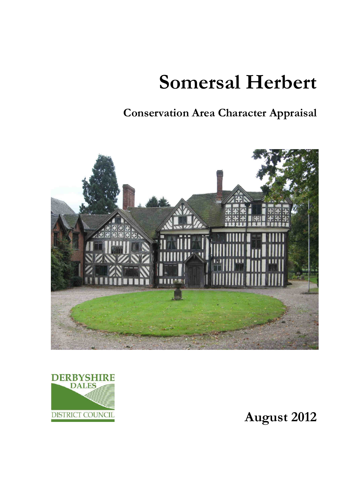# **Somersal Herbert**

**Conservation Area Character Appraisal** 





**August 2012**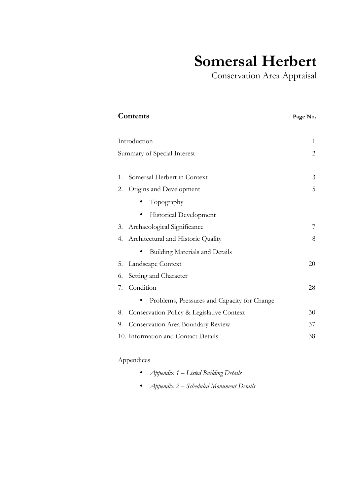# **Somersal Herbert**

Conservation Area Appraisal

| Contents                                        | Page No.       |
|-------------------------------------------------|----------------|
|                                                 |                |
| Introduction                                    | 1              |
| Summary of Special Interest                     | $\overline{2}$ |
|                                                 |                |
| Somersal Herbert in Context<br>1.               | 3              |
| 2.<br>Origins and Development                   | 5              |
| Topography                                      |                |
| Historical Development                          |                |
| Archaeological Significance<br>3.               | 7              |
| Architectural and Historic Quality<br>4.        | 8              |
| <b>Building Materials and Details</b>           |                |
| Landscape Context<br>5.                         | 20             |
| Setting and Character<br>6.                     |                |
| Condition<br>7.                                 | 28             |
| Problems, Pressures and Capacity for Change     |                |
| Conservation Policy & Legislative Context<br>8. | 30             |
| Conservation Area Boundary Review<br>9.         | 37             |
| 10. Information and Contact Details             | 38             |
|                                                 |                |

## Appendices

- *Appendix 1 Listed Building Details*
- *Appendix 2 Scheduled Monument Details*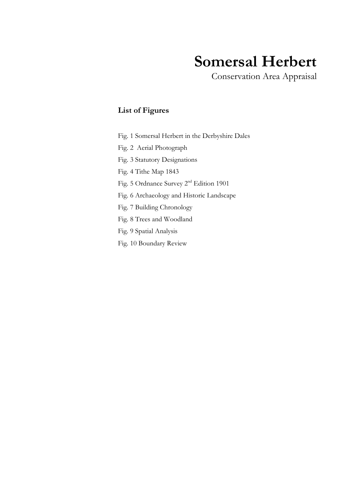# **Somersal Herbert**

Conservation Area Appraisal

### **List of Figures**

Fig. 1 Somersal Herbert in the Derbyshire Dales

Fig. 2 Aerial Photograph

Fig. 3 Statutory Designations

Fig. 4 Tithe Map 1843

Fig. 5 Ordnance Survey 2nd Edition 1901

Fig. 6 Archaeology and Historic Landscape

Fig. 7 Building Chronology

Fig. 8 Trees and Woodland

Fig. 9 Spatial Analysis

Fig. 10 Boundary Review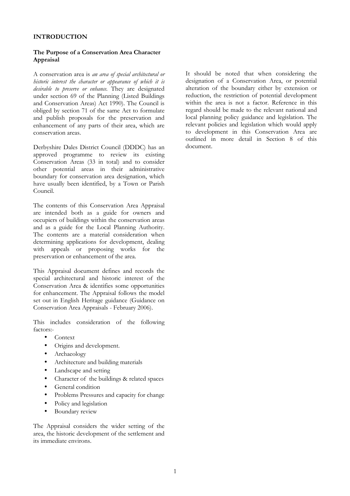### **INTRODUCTION**

### **The Purpose of a Conservation Area Character Appraisal**

A conservation area is *an area of special architectural or historic interest the character or appearance of which it is desirable to preserve or enhance.* They are designated under section 69 of the Planning (Listed Buildings and Conservation Areas) Act 1990). The Council is obliged by section 71 of the same Act to formulate and publish proposals for the preservation and enhancement of any parts of their area, which are conservation areas.

Derbyshire Dales District Council (DDDC) has an approved programme to review its existing Conservation Areas (33 in total) and to consider other potential areas in their administrative boundary for conservation area designation, which have usually been identified, by a Town or Parish Council.

The contents of this Conservation Area Appraisal are intended both as a guide for owners and occupiers of buildings within the conservation areas and as a guide for the Local Planning Authority. The contents are a material consideration when determining applications for development, dealing with appeals or proposing works for the preservation or enhancement of the area.

This Appraisal document defines and records the special architectural and historic interest of the Conservation Area & identifies some opportunities for enhancement. The Appraisal follows the model set out in English Heritage guidance (Guidance on Conservation Area Appraisals - February 2006).

This includes consideration of the following factors:-

- Context
- Origins and development.
- Archaeology
- Architecture and building materials
- Landscape and setting
- Character of the buildings & related spaces
- General condition
- Problems Pressures and capacity for change
- Policy and legislation
- Boundary review

The Appraisal considers the wider setting of the area, the historic development of the settlement and its immediate environs.

It should be noted that when considering the designation of a Conservation Area, or potential alteration of the boundary either by extension or reduction, the restriction of potential development within the area is not a factor. Reference in this regard should be made to the relevant national and local planning policy guidance and legislation. The relevant policies and legislation which would apply to development in this Conservation Area are outlined in more detail in Section 8 of this document.